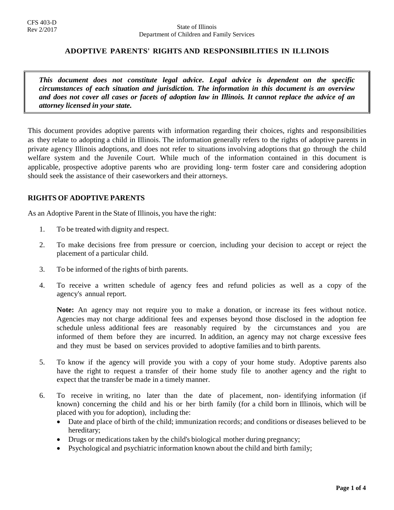## **ADOPTIVE PARENTS' RIGHTS AND RESPONSIBILITIES IN ILLINOIS**

*This document does not constitute legal advice. Legal advice is dependent on the specific circumstances of each situation and jurisdiction. The information in this document is an overview and does not cover all cases or facets of adoption law in Illinois. It cannot replace the advice of an attorney licensed in your state.*

This document provides adoptive parents with information regarding their choices, rights and responsibilities as they relate to adopting a child in Illinois. The information generally refers to the rights of adoptive parents in private agency Illinois adoptions, and does not refer to situations involving adoptions that go through the child welfare system and the Juvenile Court. While much of the information contained in this document is applicable, prospective adoptive parents who are providing long- term foster care and considering adoption should seek the assistance of their caseworkers and their attorneys.

## **RIGHTS OF ADOPTIVE PARENTS**

As an Adoptive Parent in the State of Illinois, you have the right:

- 1. To be treated with dignity and respect.
- 2. To make decisions free from pressure or coercion, including your decision to accept or reject the placement of a particular child.
- 3. To be informed of the rights of birth parents.
- 4. To receive a written schedule of agency fees and refund policies as well as a copy of the agency's annual report.

**Note:** An agency may not require you to make a donation, or increase its fees without notice. Agencies may not charge additional fees and expenses beyond those disclosed in the adoption fee schedule unless additional fees are reasonably required by the circumstances and you are informed of them before they are incurred. In addition, an agency may not charge excessive fees and they must be based on services provided to adoptive families and to birth parents.

- 5. To know if the agency will provide you with a copy of your home study. Adoptive parents also have the right to request a transfer of their home study file to another agency and the right to expect that the transfer be made in a timely manner.
- 6. To receive in writing, no later than the date of placement, non- identifying information (if known) concerning the child and his or her birth family (for a child born in Illinois, which will be placed with you for adoption), including the:
	- Date and place of birth of the child; immunization records; and conditions or diseases believed to be hereditary;
	- Drugs or medications taken by the child's biological mother during pregnancy;
	- Psychological and psychiatric information known about the child and birth family;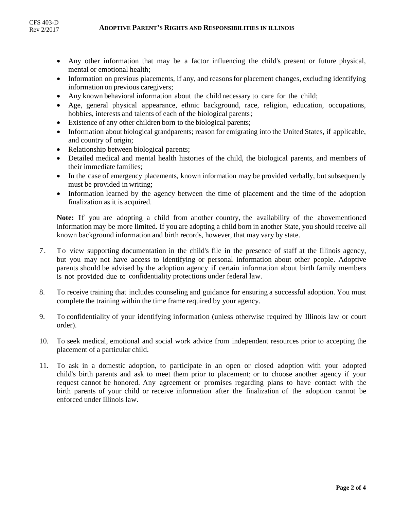- Any other information that may be a factor influencing the child's present or future physical, mental or emotional health;
- Information on previous placements, if any, and reasons for placement changes, excluding identifying information on previous caregivers;
- Any known behavioral information about the child necessary to care for the child;
- Age, general physical appearance, ethnic background, race, religion, education, occupations, hobbies, interests and talents of each of the biological parents;
- Existence of any other children born to the biological parents;
- Information about biological grandparents; reason for emigrating into the United States, if applicable, and country of origin;
- Relationship between biological parents;
- Detailed medical and mental health histories of the child, the biological parents, and members of their immediate families;
- In the case of emergency placements, known information may be provided verbally, but subsequently must be provided in writing;
- Information learned by the agency between the time of placement and the time of the adoption finalization as it is acquired.

**Note:** If you are adopting a child from another country, the availability of the abovementioned information may be more limited. If you are adopting a child born in another State, you should receive all known background information and birth records, however, that may vary by state.

- 7. To view supporting documentation in the child's file in the presence of staff at the Illinois agency, but you may not have access to identifying or personal information about other people. Adoptive parents should be advised by the adoption agency if certain information about birth family members is not provided due to confidentiality protections under federal law.
- 8. To receive training that includes counseling and guidance for ensuring a successful adoption. You must complete the training within the time frame required by your agency.
- 9. To confidentiality of your identifying information (unless otherwise required by Illinois law or court order).
- 10. To seek medical, emotional and social work advice from independent resources prior to accepting the placement of a particular child.
- 11. To ask in a domestic adoption, to participate in an open or closed adoption with your adopted child's birth parents and ask to meet them prior to placement; or to choose another agency if your request cannot be honored. Any agreement or promises regarding plans to have contact with the birth parents of your child or receive information after the finalization of the adoption cannot be enforced under Illinois law.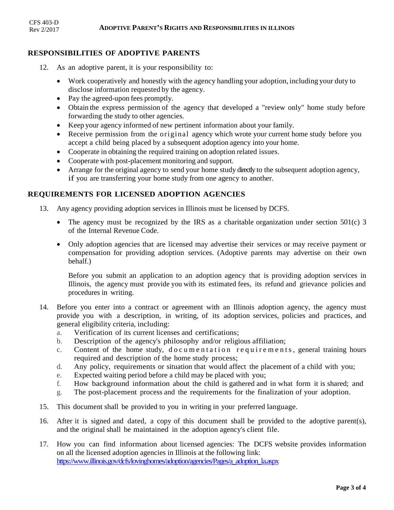# **RESPONSIBILITIES OF ADOPTIVE PARENTS**

- 12. As an adoptive parent, it is your responsibility to:
	- Work cooperatively and honestly with the agency handling your adoption, including your duty to disclose information requested by the agency.
	- Pay the agreed-upon fees promptly.
	- Obtain the express permission of the agency that developed a "review only" home study before forwarding the study to other agencies.
	- Keep your agency informed of new pertinent information about your family.
	- Receive permission from the original agency which wrote your current home study before you accept a child being placed by a subsequent adoption agency into your home.
	- Cooperate in obtaining the required training on adoption related issues.
	- Cooperate with post-placement monitoring and support.
	- Arrange for the original agency to send your home study directly to the subsequent adoption agency, if you are transferring your home study from one agency to another.

#### **REQUIREMENTS FOR LICENSED ADOPTION AGENCIES**

- 13. Any agency providing adoption services in Illinois must be licensed by DCFS.
	- The agency must be recognized by the IRS as a charitable organization under section 501(c) 3 of the Internal Revenue Code.
	- Only adoption agencies that are licensed may advertise their services or may receive payment or compensation for providing adoption services. (Adoptive parents may advertise on their own behalf.)

Before you submit an application to an adoption agency that is providing adoption services in Illinois, the agency must provide you with its estimated fees, its refund and grievance policies and procedures in writing.

- 14. Before you enter into a contract or agreement with an Illinois adoption agency, the agency must provide you with a description, in writing, of its adoption services, policies and practices, and general eligibility criteria, including:
	- a. Verification of its current licenses and certifications;
	- b. Description of the agency's philosophy and/or religious affiliation;
	- c. Content of the home study, documentation requirements, general training hours required and description of the home study process;
	- d. Any policy, requirements or situation that would affect the placement of a child with you;
	- e. Expected waiting period before a child may be placed with you;
	- f. How background information about the child is gathered and in what form it is shared; and
	- g. The post-placement process and the requirements for the finalization of your adoption.
- 15. This document shall be provided to you in writing in your preferred language.
- 16. After it is signed and dated, a copy of this document shall be provided to the adoptive parent(s), and the original shall be maintained in the adoption agency's client file.
- 17. How you can find information about licensed agencies: The DCFS website provides information on all the licensed adoption agencies in Illinois at the following link: https://www.illinois.gov/dcfs/lovinghomes/adoption/agencies/Pages/a\_adoption\_la.aspx